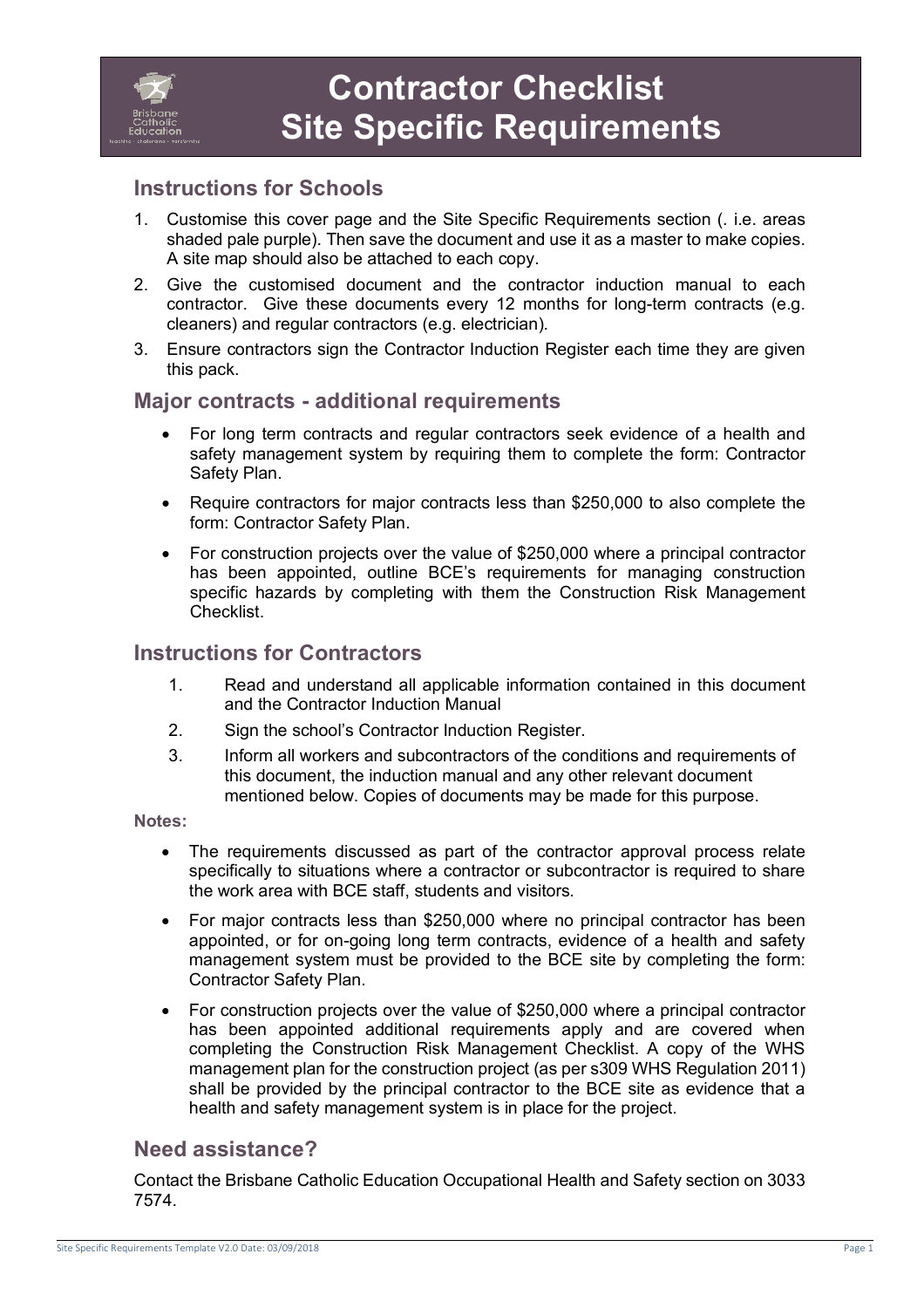

# **Instructions for Schools**

- 1. Customise this cover page and the Site Specific Requirements section (. i.e. areas shaded pale purple). Then save the document and use it as a master to make copies. A site map should also be attached to each copy.
- 2. Give the customised document and the contractor induction manual to each contractor. Give these documents every 12 months for long-term contracts (e.g. cleaners) and regular contractors (e.g. electrician).
- 3. Ensure contractors sign the Contractor Induction Register each time they are given this pack.

## **Major contracts - additional requirements**

- For long term contracts and regular contractors seek evidence of a health and safety management system by requiring them to complete the form: Contractor Safety Plan.
- Require contractors for major contracts less than \$250,000 to also complete the form: Contractor Safety Plan.
- For construction projects over the value of \$250,000 where a principal contractor has been appointed, outline BCE's requirements for managing construction specific hazards by completing with them the Construction Risk Management Checklist.

## **Instructions for Contractors**

- 1. Read and understand all applicable information contained in this document and the Contractor Induction Manual
- 2. Sign the school's Contractor Induction Register.
- 3. Inform all workers and subcontractors of the conditions and requirements of this document, the induction manual and any other relevant document mentioned below. Copies of documents may be made for this purpose.

#### **Notes:**

- The requirements discussed as part of the contractor approval process relate specifically to situations where a contractor or subcontractor is required to share the work area with BCE staff, students and visitors.
- For major contracts less than \$250,000 where no principal contractor has been appointed, or for on-going long term contracts, evidence of a health and safety management system must be provided to the BCE site by completing the form: Contractor Safety Plan.
- For construction projects over the value of \$250,000 where a principal contractor has been appointed additional requirements apply and are covered when completing the Construction Risk Management Checklist. A copy of the WHS management plan for the construction project (as per s309 WHS Regulation 2011) shall be provided by the principal contractor to the BCE site as evidence that a health and safety management system is in place for the project.

## **Need assistance?**

Contact the Brisbane Catholic Education Occupational Health and Safety section on 3033 7574.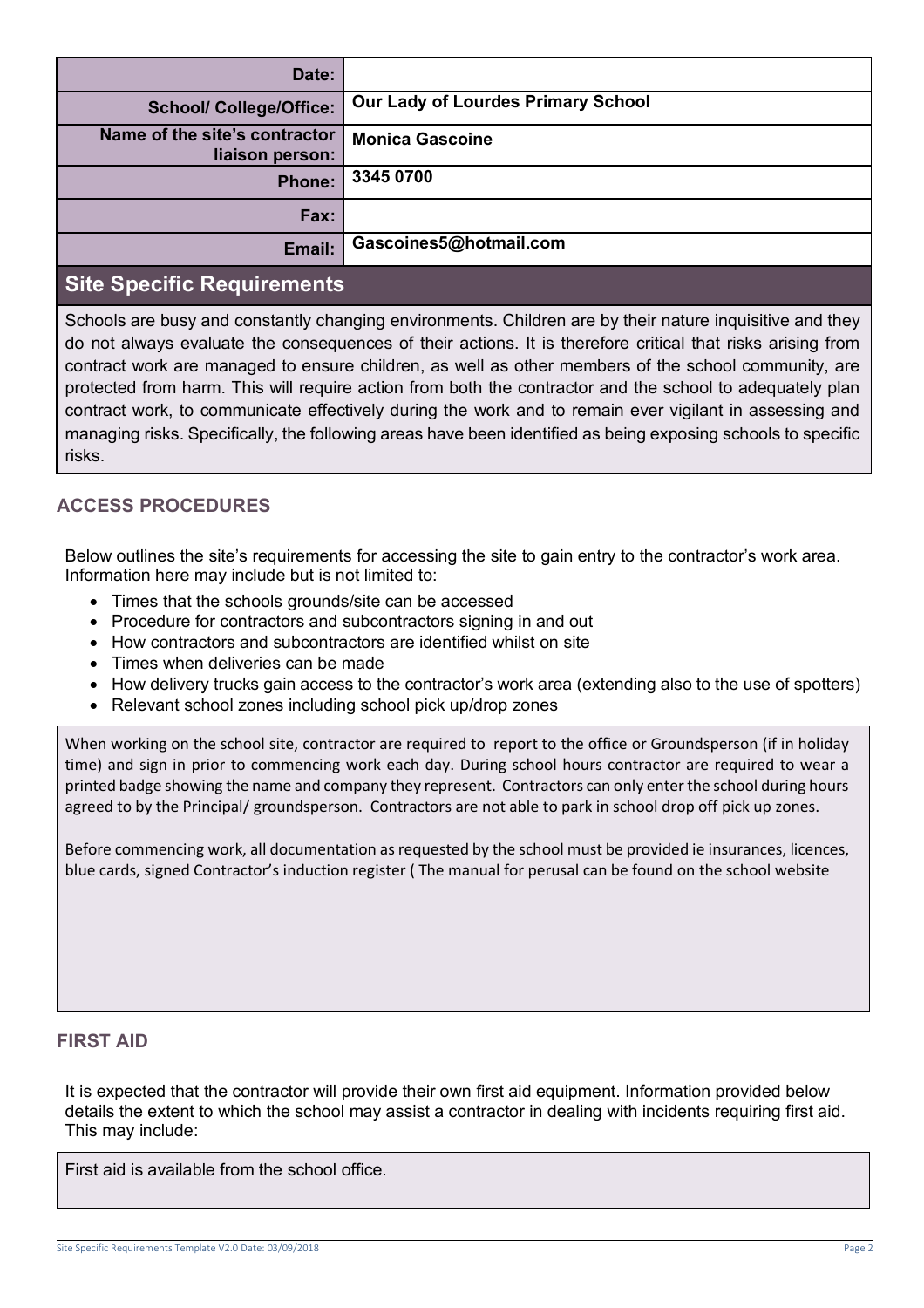| Date:                                            |                                           |
|--------------------------------------------------|-------------------------------------------|
| <b>School/ College/Office:</b>                   | <b>Our Lady of Lourdes Primary School</b> |
| Name of the site's contractor<br>liaison person: | <b>Monica Gascoine</b>                    |
| <b>Phone:</b>                                    | 3345 0700                                 |
| Fax:                                             |                                           |
| Email:                                           | Gascoines5@hotmail.com                    |
|                                                  |                                           |

# **Site Specific Requirements**

Schools are busy and constantly changing environments. Children are by their nature inquisitive and they do not always evaluate the consequences of their actions. It is therefore critical that risks arising from contract work are managed to ensure children, as well as other members of the school community, are protected from harm. This will require action from both the contractor and the school to adequately plan contract work, to communicate effectively during the work and to remain ever vigilant in assessing and managing risks. Specifically, the following areas have been identified as being exposing schools to specific risks.

## **ACCESS PROCEDURES**

Below outlines the site's requirements for accessing the site to gain entry to the contractor's work area. Information here may include but is not limited to:

- Times that the schools grounds/site can be accessed
- Procedure for contractors and subcontractors signing in and out
- How contractors and subcontractors are identified whilst on site
- Times when deliveries can be made
- How delivery trucks gain access to the contractor's work area (extending also to the use of spotters)
- Relevant school zones including school pick up/drop zones

When working on the school site, contractor are required to report to the office or Groundsperson (if in holiday time) and sign in prior to commencing work each day. During school hours contractor are required to wear a printed badge showing the name and company they represent. Contractors can only enter the school during hours agreed to by the Principal/ groundsperson. Contractors are not able to park in school drop off pick up zones.

Before commencing work, all documentation as requested by the school must be provided ie insurances, licences, blue cards, signed Contractor's induction register ( The manual for perusal can be found on the school website

### **FIRST AID**

It is expected that the contractor will provide their own first aid equipment. Information provided below details the extent to which the school may assist a contractor in dealing with incidents requiring first aid. This may include:

First aid is available from the school office.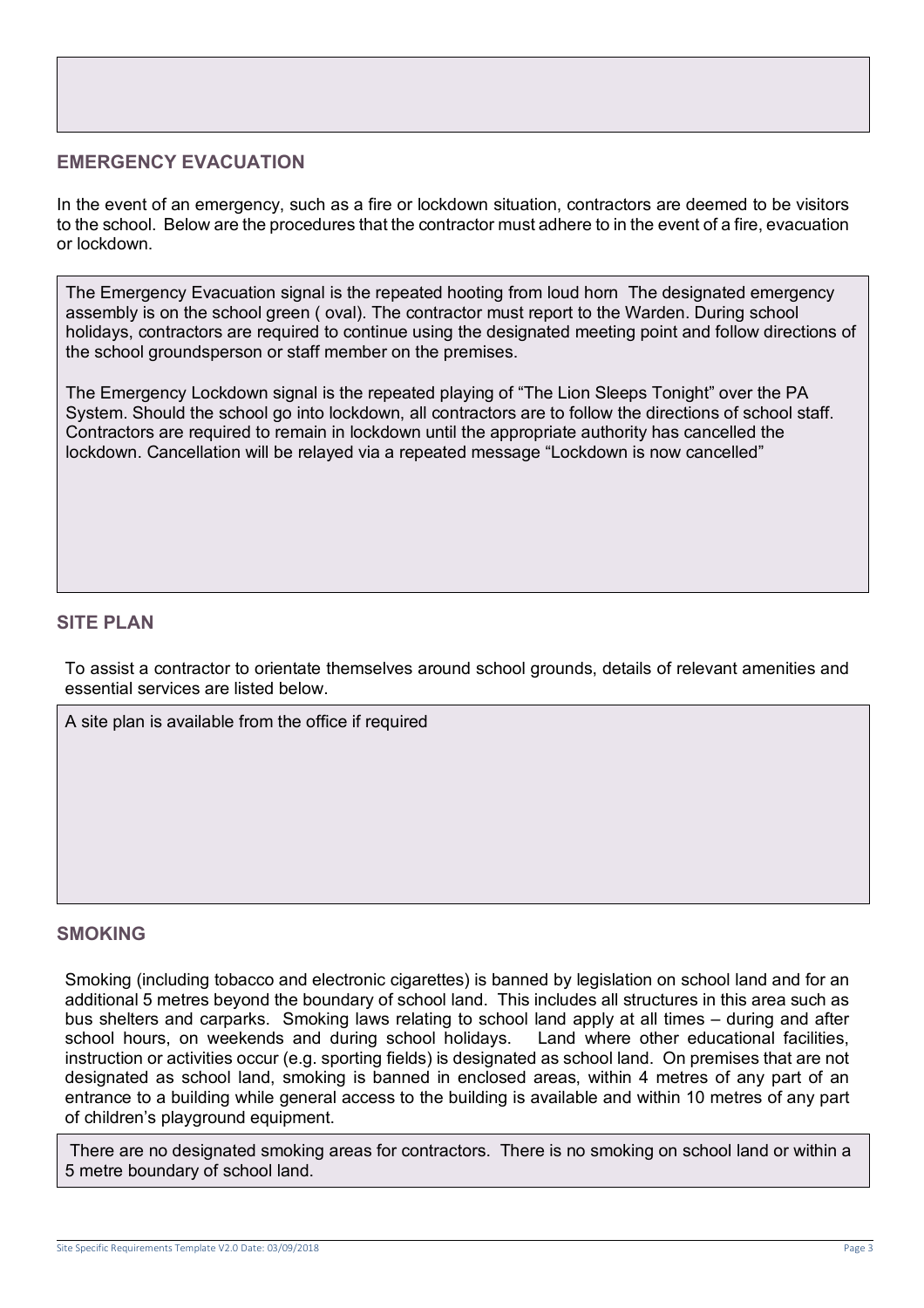### **EMERGENCY EVACUATION**

In the event of an emergency, such as a fire or lockdown situation, contractors are deemed to be visitors to the school. Below are the procedures that the contractor must adhere to in the event of a fire, evacuation or lockdown.

The Emergency Evacuation signal is the repeated hooting from loud horn The designated emergency assembly is on the school green ( oval). The contractor must report to the Warden. During school holidays, contractors are required to continue using the designated meeting point and follow directions of the school groundsperson or staff member on the premises.

The Emergency Lockdown signal is the repeated playing of "The Lion Sleeps Tonight" over the PA System. Should the school go into lockdown, all contractors are to follow the directions of school staff. Contractors are required to remain in lockdown until the appropriate authority has cancelled the lockdown. Cancellation will be relayed via a repeated message "Lockdown is now cancelled"

### **SITE PLAN**

To assist a contractor to orientate themselves around school grounds, details of relevant amenities and essential services are listed below.

A site plan is available from the office if required

#### **SMOKING**

Smoking (including tobacco and electronic cigarettes) is banned by legislation on school land and for an additional 5 metres beyond the boundary of school land. This includes all structures in this area such as bus shelters and carparks. Smoking laws relating to school land apply at all times – during and after school hours, on weekends and during school holidays. Land where other educational facilities, instruction or activities occur (e.g. sporting fields) is designated as school land. On premises that are not designated as school land, smoking is banned in enclosed areas, within 4 metres of any part of an entrance to a building while general access to the building is available and within 10 metres of any part of children's playground equipment.

There are no designated smoking areas for contractors. There is no smoking on school land or within a 5 metre boundary of school land.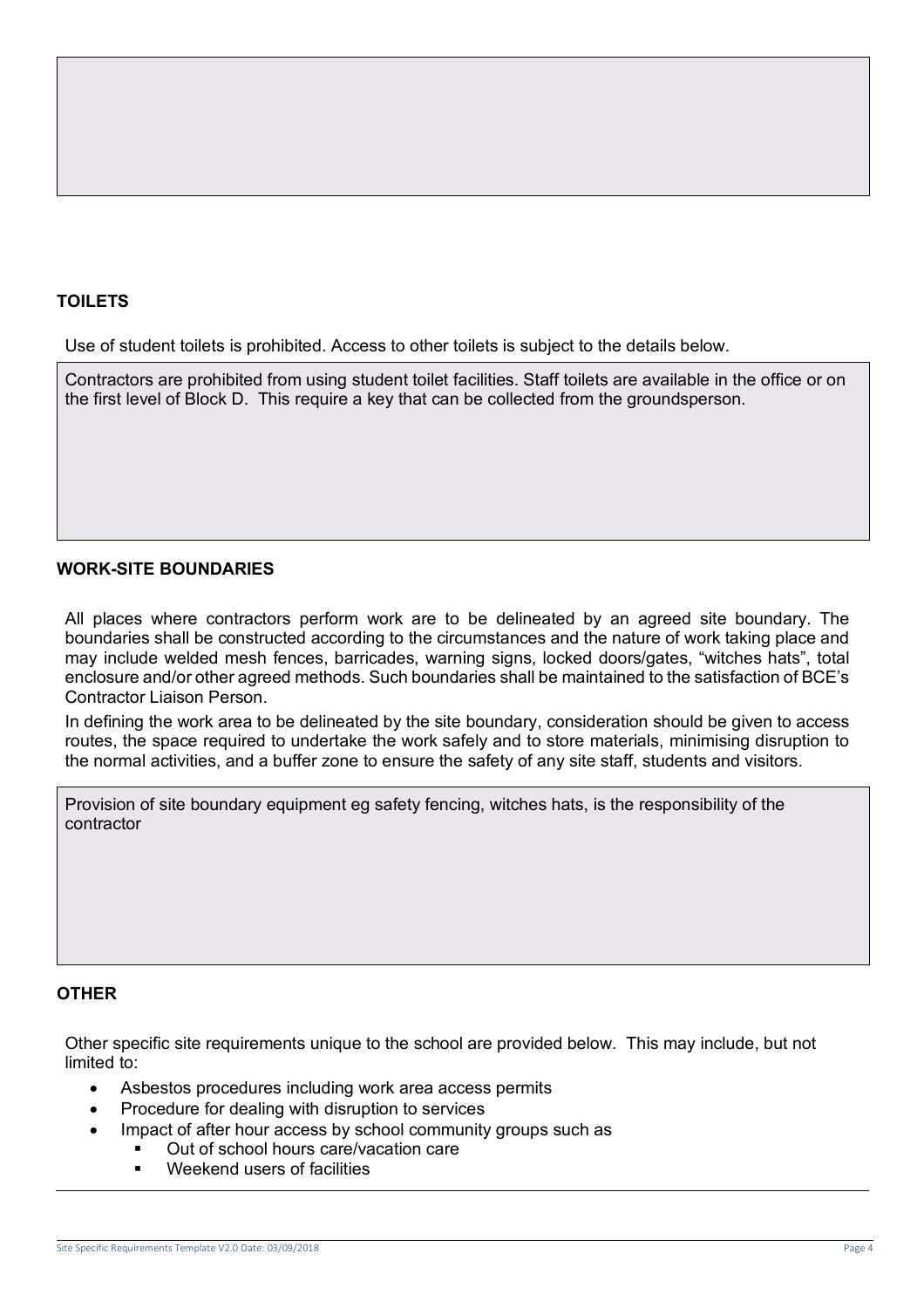### **TOILETS**

Use of student toilets is prohibited. Access to other toilets is subject to the details below.

Contractors are prohibited from using student toilet facilities. Staff toilets are available in the office or on the first level of Block D. This require a key that can be collected from the groundsperson.

### **WORK-SITE BOUNDARIES**

All places where contractors perform work are to be delineated by an agreed site boundary. The boundaries shall be constructed according to the circumstances and the nature of work taking place and may include welded mesh fences, barricades, warning signs, locked doors/gates, "witches hats", total enclosure and/or other agreed methods. Such boundaries shall be maintained to the satisfaction of BCE's Contractor Liaison Person.

In defining the work area to be delineated by the site boundary, consideration should be given to access routes, the space required to undertake the work safely and to store materials, minimising disruption to the normal activities, and a buffer zone to ensure the safety of any site staff, students and visitors.

Provision of site boundary equipment eg safety fencing, witches hats, is the responsibility of the contractor

### **OTHER**

Other specific site requirements unique to the school are provided below. This may include, but not limited to:

- Asbestos procedures including work area access permits
- Procedure for dealing with disruption to services
- Impact of after hour access by school community groups such as
	- § Out of school hours care/vacation care
	- Weekend users of facilities